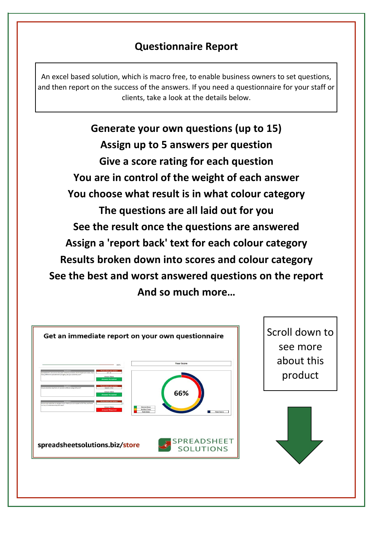## **Questionnaire Report**

An excel based solution, which is macro free, to enable business owners to set questions, and then report on the success of the answers. If you need a questionnaire for your staff or clients, take a look at the details below.

**Generate your own questions (up to 15) Assign up to 5 answers per question Give a score rating for each question You choose what result is in what colour category You are in control of the weight of each answer The questions are all laid out for you And so much more… See the result once the questions are answered Assign a 'report back' text for each colour category Results broken down into scores and colour category See the best and worst answered questions on the report**

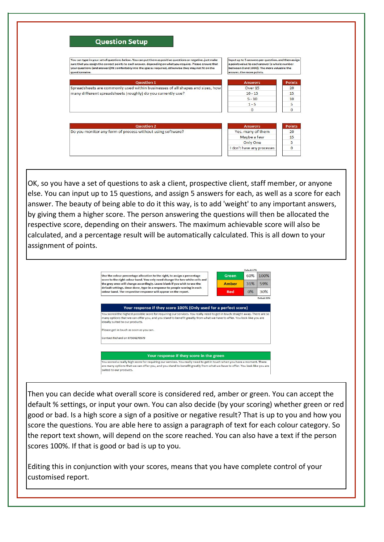

OK, so you have a set of questions to ask a client, prospective client, staff member, or anyone else. You can input up to 15 questions, and assign 5 answers for each, as well as a score for each answer. The beauty of being able to do it this way, is to add 'weight' to any important answers, by giving them a higher score. The person answering the questions will then be allocated the respective score, depending on their answers. The maximum achievable score will also be calculated, and a percentage result will be automatically calculated. This is all down to your assignment of points.



Then you can decide what overall score is considered red, amber or green. You can accept the default % settings, or input your own. You can also decide (by your scoring) whether green or red good or bad. Is a high score a sign of a positive or negative result? That is up to you and how you score the questions. You are able here to assign a paragraph of text for each colour category. So the report text shown, will depend on the score reached. You can also have a text if the person scores 100%. If that is good or bad is up to you.

Editing this in conjunction with your scores, means that you have complete control of your customised report.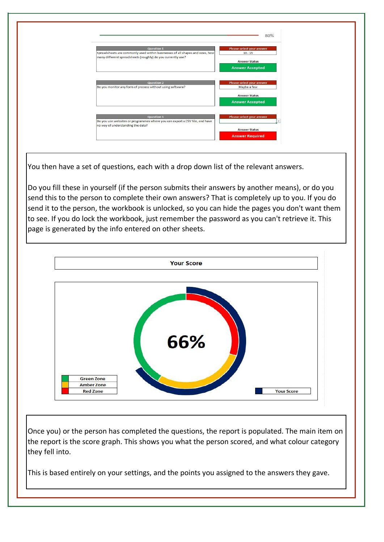

You then have a set of questions, each with a drop down list of the relevant answers.

Do you fill these in yourself (if the person submits their answers by another means), or do you send this to the person to complete their own answers? That is completely up to you. If you do send it to the person, the workbook is unlocked, so you can hide the pages you don't want them to see. If you do lock the workbook, just remember the password as you can't retrieve it. This page is generated by the info entered on other sheets.



Once you) or the person has completed the questions, the report is populated. The main item on the report is the score graph. This shows you what the person scored, and what colour category they fell into.

This is based entirely on your settings, and the points you assigned to the answers they gave.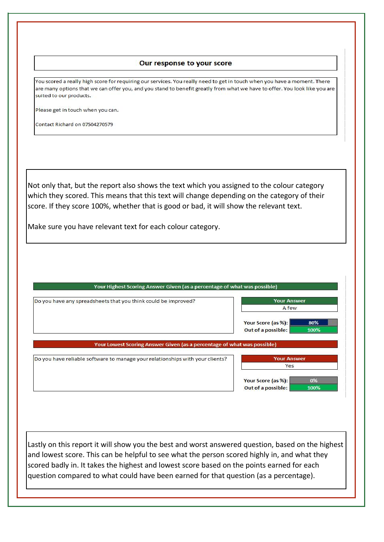## Our response to your score

You scored a really high score for requiring our services. You really need to get in touch when you have a moment. There are many options that we can offer you, and you stand to benefit greatly from what we have to offer. You look like you are suited to our products.

Please get in touch when you can.

Contact Richard on 07504270579

Not only that, but the report also shows the text which you assigned to the colour category which they scored. This means that this text will change depending on the category of their score. If they score 100%, whether that is good or bad, it will show the relevant text.

Make sure you have relevant text for each colour category.

| Do you have any spreadsheets that you think could be improved?                | <b>Your Answer</b>         |
|-------------------------------------------------------------------------------|----------------------------|
|                                                                               | A few                      |
|                                                                               | Your Score (as %):<br>80%  |
|                                                                               | Out of a possible:<br>100% |
| Your Lowest Scoring Answer Given (as a percentage of what was possible)       |                            |
|                                                                               | <b>Your Answer</b>         |
| Do you have reliable software to manage your relationships with your clients? | Yes                        |
|                                                                               | Your Score (as %):<br>0%   |

Lastly on this report it will show you the best and worst answered question, based on the highest and lowest score. This can be helpful to see what the person scored highly in, and what they scored badly in. It takes the highest and lowest score based on the points earned for each question compared to what could have been earned for that question (as a percentage).